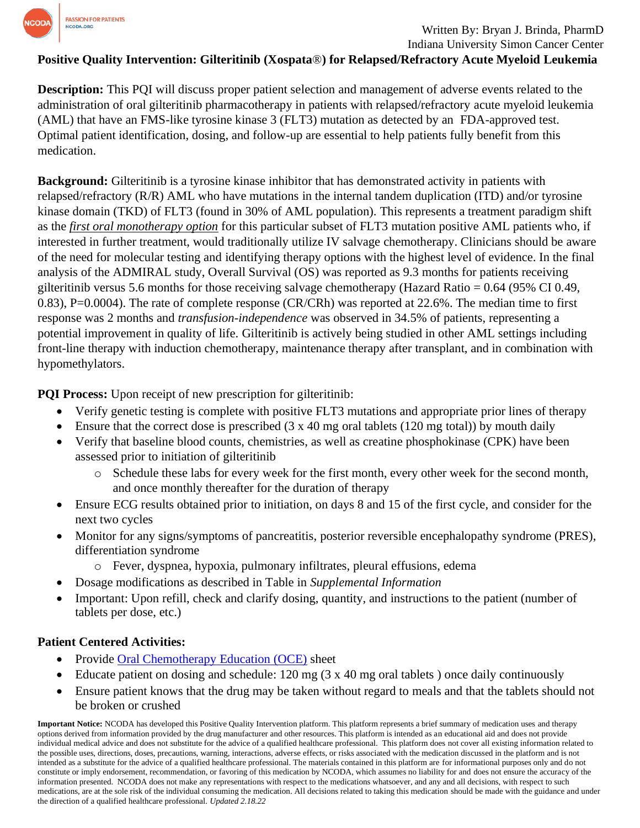

### Written By: Bryan J. Brinda, PharmD Indiana University Simon Cancer Center

**Positive Quality Intervention: Gilteritinib (Xospata**®**) for Relapsed/Refractory Acute Myeloid Leukemia**

**Description:** This PQI will discuss proper patient selection and management of adverse events related to the administration of oral gilteritinib pharmacotherapy in patients with relapsed/refractory acute myeloid leukemia (AML) that have an FMS-like tyrosine kinase 3 (FLT3) mutation as detected by an FDA-approved test. Optimal patient identification, dosing, and follow-up are essential to help patients fully benefit from this medication.

**Background:** Gilteritinib is a tyrosine kinase inhibitor that has demonstrated activity in patients with relapsed/refractory (R/R) AML who have mutations in the internal tandem duplication (ITD) and/or tyrosine kinase domain (TKD) of FLT3 (found in 30% of AML population). This represents a treatment paradigm shift as the *first oral monotherapy option* for this particular subset of FLT3 mutation positive AML patients who, if interested in further treatment, would traditionally utilize IV salvage chemotherapy. Clinicians should be aware of the need for molecular testing and identifying therapy options with the highest level of evidence. In the final analysis of the ADMIRAL study, Overall Survival (OS) was reported as 9.3 months for patients receiving gilteritinib versus 5.6 months for those receiving salvage chemotherapy (Hazard Ratio = 0.64 (95% CI 0.49, 0.83), P=0.0004). The rate of complete response (CR/CRh) was reported at 22.6%. The median time to first response was 2 months and *transfusion-independence* was observed in 34.5% of patients, representing a potential improvement in quality of life. Gilteritinib is actively being studied in other AML settings including front-line therapy with induction chemotherapy, maintenance therapy after transplant, and in combination with hypomethylators.

**PQI Process:** Upon receipt of new prescription for gilteritinib:

- Verify genetic testing is complete with positive FLT3 mutations and appropriate prior lines of therapy
- Ensure that the correct dose is prescribed  $(3 \times 40 \text{ mg} \text{ oral} \text{ tablets} (120 \text{ mg} \text{ total}))$  by mouth daily
- Verify that baseline blood counts, chemistries, as well as creatine phosphokinase (CPK) have been assessed prior to initiation of gilteritinib
	- o Schedule these labs for every week for the first month, every other week for the second month, and once monthly thereafter for the duration of therapy
- Ensure ECG results obtained prior to initiation, on days 8 and 15 of the first cycle, and consider for the next two cycles
- Monitor for any signs/symptoms of pancreatitis, posterior reversible encephalopathy syndrome (PRES), differentiation syndrome
	- o Fever, dyspnea, hypoxia, pulmonary infiltrates, pleural effusions, edema
- Dosage modifications as described in Table in *Supplemental Information*
- Important: Upon refill, check and clarify dosing, quantity, and instructions to the patient (number of tablets per dose, etc.)

# **Patient Centered Activities:**

- Provide [Oral Chemotherapy Education \(OCE\)](https://www.oralchemoedsheets.com/index.php/sheet-library/24-available/generic/415-gilteritinib) sheet
- Educate patient on dosing and schedule: 120 mg (3 x 40 mg oral tablets ) once daily continuously
- Ensure patient knows that the drug may be taken without regard to meals and that the tablets should not be broken or crushed

**Important Notice:** NCODA has developed this Positive Quality Intervention platform. This platform represents a brief summary of medication uses and therapy options derived from information provided by the drug manufacturer and other resources. This platform is intended as an educational aid and does not provide individual medical advice and does not substitute for the advice of a qualified healthcare professional. This platform does not cover all existing information related to the possible uses, directions, doses, precautions, warning, interactions, adverse effects, or risks associated with the medication discussed in the platform and is not intended as a substitute for the advice of a qualified healthcare professional. The materials contained in this platform are for informational purposes only and do not constitute or imply endorsement, recommendation, or favoring of this medication by NCODA, which assumes no liability for and does not ensure the accuracy of the information presented. NCODA does not make any representations with respect to the medications whatsoever, and any and all decisions, with respect to such medications, are at the sole risk of the individual consuming the medication. All decisions related to taking this medication should be made with the guidance and under the direction of a qualified healthcare professional. *Updated 2.18.22*